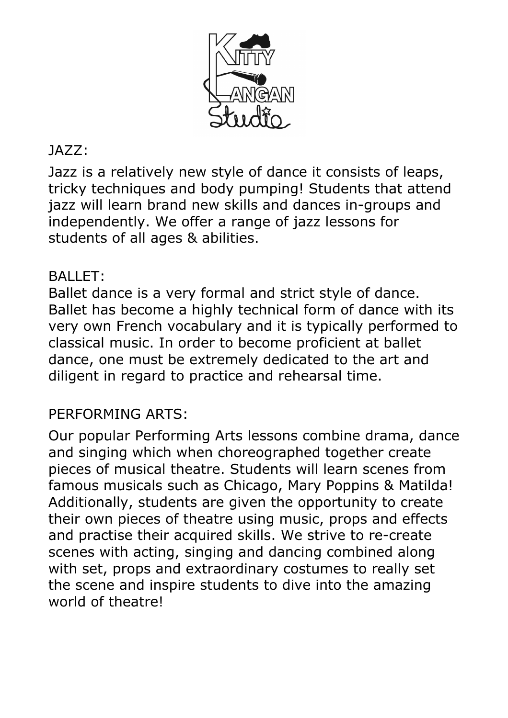

# JAZZ:

Jazz is a relatively new style of dance it consists of leaps, tricky techniques and body pumping! Students that attend jazz will learn brand new skills and dances in-groups and independently. We offer a range of jazz lessons for students of all ages & abilities.

# BALLET:

Ballet dance is a very formal and strict style of dance. Ballet has become a highly technical form of dance with its very own French vocabulary and it is typically performed to classical music. In order to become proficient at ballet dance, one must be extremely dedicated to the art and diligent in regard to practice and rehearsal time.

# PERFORMING ARTS:

Our popular Performing Arts lessons combine drama, dance and singing which when choreographed together create pieces of musical theatre. Students will learn scenes from famous musicals such as Chicago, Mary Poppins & Matilda! Additionally, students are given the opportunity to create their own pieces of theatre using music, props and effects and practise their acquired skills. We strive to re-create scenes with acting, singing and dancing combined along with set, props and extraordinary costumes to really set the scene and inspire students to dive into the amazing world of theatre!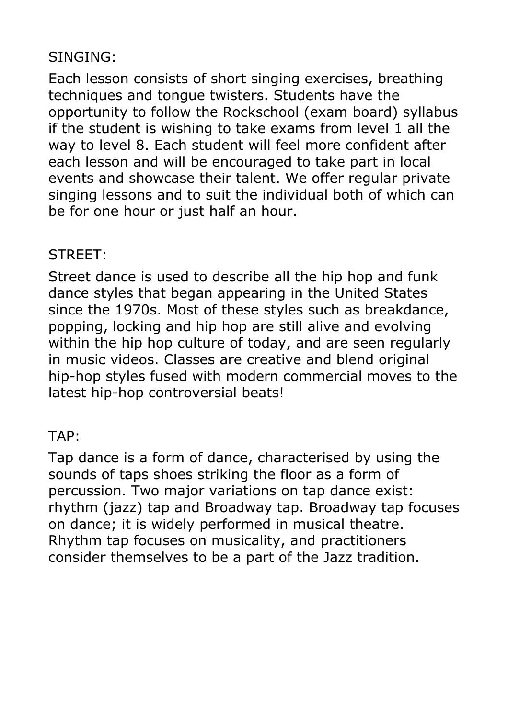## SINGING:

Each lesson consists of short singing exercises, breathing techniques and tongue twisters. Students have the opportunity to follow the Rockschool (exam board) syllabus if the student is wishing to take exams from level 1 all the way to level 8. Each student will feel more confident after each lesson and will be encouraged to take part in local events and showcase their talent. We offer regular private singing lessons and to suit the individual both of which can be for one hour or just half an hour.

#### STREET:

Street dance is used to describe all the hip hop and funk dance styles that began appearing in the United States since the 1970s. Most of these styles such as breakdance, popping, locking and hip hop are still alive and evolving within the hip hop culture of today, and are seen regularly in music videos. Classes are creative and blend original hip-hop styles fused with modern commercial moves to the latest hip-hop controversial beats!

#### TAP:

Tap dance is a form of dance, characterised by using the sounds of taps shoes striking the floor as a form of percussion. Two major variations on tap dance exist: rhythm (jazz) tap and Broadway tap. Broadway tap focuses on dance; it is widely performed in musical theatre. Rhythm tap focuses on musicality, and practitioners consider themselves to be a part of the Jazz tradition.